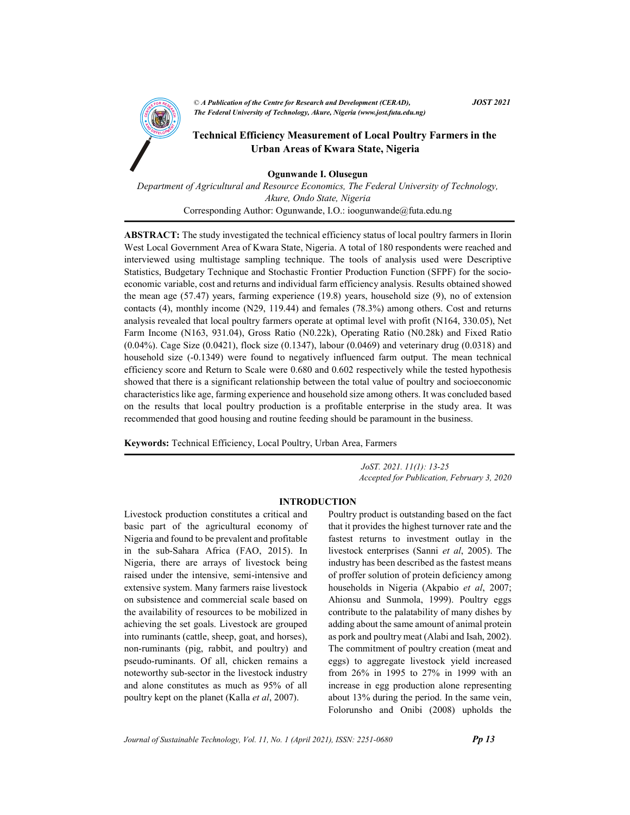

1

CA Publication of the Centre for Kesearch and Development (CEKAD),<br>The Federal University of Technology, Akure, Nigeria (www.jost.futa.edu.ng) © A Publication of the Centre for Research and Development (CERAD),  $JOST 2021$ 

## **AND TECHNICAL Efficiency Measurement of Local Poultry Farmers in the**<br>Technical Efficiency Measurement of Local Poultry Farmers in the Urban Areas of Kwara State, Nigeria

Ogunwande I. Olusegun

Department of Agricultural and Resource Economics, The Federal University of Technology, Akure, Ondo State, Nigeria Corresponding Author: Ogunwande, I.O.: ioogunwande@futa.edu.ng

ABSTRACT: The study investigated the technical efficiency status of local poultry farmers in Ilorin West Local Government Area of Kwara State, Nigeria. A total of 180 respondents were reached and interviewed using multistage sampling technique. The tools of analysis used were Descriptive Statistics, Budgetary Technique and Stochastic Frontier Production Function (SFPF) for the socioeconomic variable, cost and returns and individual farm efficiency analysis. Results obtained showed the mean age (57.47) years, farming experience (19.8) years, household size (9), no of extension contacts (4), monthly income (N29, 119.44) and females (78.3%) among others. Cost and returns analysis revealed that local poultry farmers operate at optimal level with profit (N164, 330.05), Net Farm Income (N163, 931.04), Gross Ratio (N0.22k), Operating Ratio (N0.28k) and Fixed Ratio (0.04%). Cage Size (0.0421), flock size (0.1347), labour (0.0469) and veterinary drug (0.0318) and household size (-0.1349) were found to negatively influenced farm output. The mean technical efficiency score and Return to Scale were 0.680 and 0.602 respectively while the tested hypothesis showed that there is a significant relationship between the total value of poultry and socioeconomic characteristics like age, farming experience and household size among others. It was concluded based on the results that local poultry production is a profitable enterprise in the study area. It was recommended that good housing and routine feeding should be paramount in the business.

Keywords: Technical Efficiency, Local Poultry, Urban Area, Farmers

 JoST. 2021. 11(1): 13-25 Accepted for Publication, February 3, 2020

### INTRODUCTION

Livestock production constitutes a critical and basic part of the agricultural economy of Nigeria and found to be prevalent and profitable in the sub-Sahara Africa (FAO, 2015). In Nigeria, there are arrays of livestock being raised under the intensive, semi-intensive and extensive system. Many farmers raise livestock on subsistence and commercial scale based on the availability of resources to be mobilized in achieving the set goals. Livestock are grouped into ruminants (cattle, sheep, goat, and horses), non-ruminants (pig, rabbit, and poultry) and pseudo-ruminants. Of all, chicken remains a noteworthy sub-sector in the livestock industry and alone constitutes as much as 95% of all poultry kept on the planet (Kalla *et al*, 2007).

Poultry product is outstanding based on the fact that it provides the highest turnover rate and the fastest returns to investment outlay in the livestock enterprises (Sanni et al, 2005). The industry has been described as the fastest means of proffer solution of protein deficiency among households in Nigeria (Akpabio et al, 2007; Ahionsu and Sunmola, 1999). Poultry eggs contribute to the palatability of many dishes by adding about the same amount of animal protein as pork and poultry meat (Alabi and Isah, 2002). The commitment of poultry creation (meat and eggs) to aggregate livestock yield increased from 26% in 1995 to 27% in 1999 with an increase in egg production alone representing about 13% during the period. In the same vein, Folorunsho and Onibi (2008) upholds the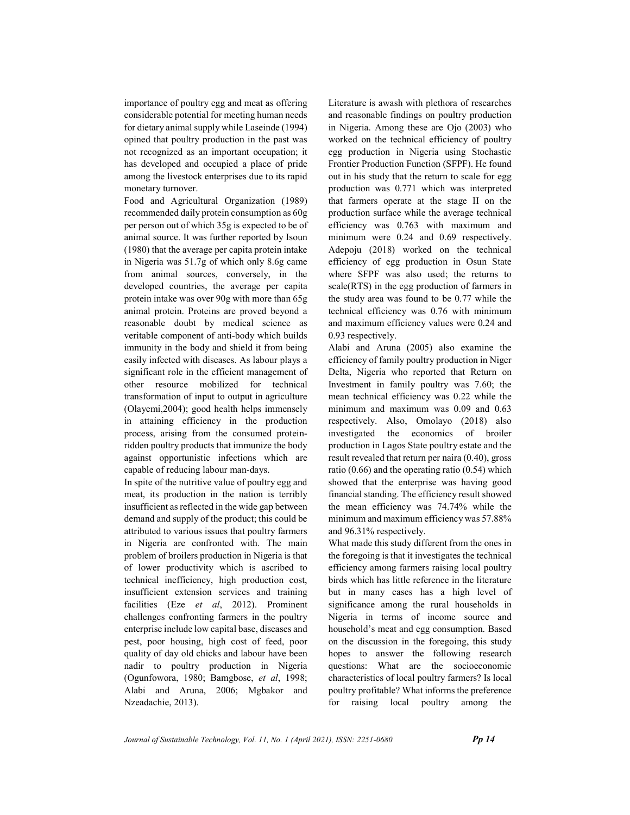importance of poultry egg and meat as offering considerable potential for meeting human needs for dietary animal supply while Laseinde (1994) opined that poultry production in the past was not recognized as an important occupation; it has developed and occupied a place of pride among the livestock enterprises due to its rapid monetary turnover.

Food and Agricultural Organization (1989) recommended daily protein consumption as 60g per person out of which 35g is expected to be of animal source. It was further reported by Isoun (1980) that the average per capita protein intake in Nigeria was 51.7g of which only 8.6g came from animal sources, conversely, in the developed countries, the average per capita protein intake was over 90g with more than 65g animal protein. Proteins are proved beyond a reasonable doubt by medical science as veritable component of anti-body which builds immunity in the body and shield it from being easily infected with diseases. As labour plays a significant role in the efficient management of other resource mobilized for technical transformation of input to output in agriculture (Olayemi,2004); good health helps immensely in attaining efficiency in the production process, arising from the consumed proteinridden poultry products that immunize the body against opportunistic infections which are capable of reducing labour man-days.

In spite of the nutritive value of poultry egg and meat, its production in the nation is terribly insufficient as reflected in the wide gap between demand and supply of the product; this could be attributed to various issues that poultry farmers in Nigeria are confronted with. The main problem of broilers production in Nigeria is that of lower productivity which is ascribed to technical inefficiency, high production cost, insufficient extension services and training facilities (Eze et al, 2012). Prominent challenges confronting farmers in the poultry enterprise include low capital base, diseases and pest, poor housing, high cost of feed, poor quality of day old chicks and labour have been nadir to poultry production in Nigeria (Ogunfowora, 1980; Bamgbose, et al, 1998; Alabi and Aruna, 2006; Mgbakor and Nzeadachie, 2013).

Literature is awash with plethora of researches and reasonable findings on poultry production in Nigeria. Among these are Ojo (2003) who worked on the technical efficiency of poultry egg production in Nigeria using Stochastic Frontier Production Function (SFPF). He found out in his study that the return to scale for egg production was 0.771 which was interpreted that farmers operate at the stage II on the production surface while the average technical efficiency was 0.763 with maximum and minimum were 0.24 and 0.69 respectively. Adepoju (2018) worked on the technical efficiency of egg production in Osun State where SFPF was also used; the returns to scale(RTS) in the egg production of farmers in the study area was found to be 0.77 while the technical efficiency was 0.76 with minimum and maximum efficiency values were 0.24 and 0.93 respectively.

Alabi and Aruna (2005) also examine the efficiency of family poultry production in Niger Delta, Nigeria who reported that Return on Investment in family poultry was 7.60; the mean technical efficiency was 0.22 while the minimum and maximum was 0.09 and 0.63 respectively. Also, Omolayo (2018) also investigated the economics of broiler production in Lagos State poultry estate and the result revealed that return per naira (0.40), gross ratio (0.66) and the operating ratio (0.54) which showed that the enterprise was having good financial standing. The efficiency result showed the mean efficiency was 74.74% while the minimum and maximum efficiency was 57.88% and 96.31% respectively.

What made this study different from the ones in the foregoing is that it investigates the technical efficiency among farmers raising local poultry birds which has little reference in the literature but in many cases has a high level of significance among the rural households in Nigeria in terms of income source and household's meat and egg consumption. Based on the discussion in the foregoing, this study hopes to answer the following research questions: What are the socioeconomic characteristics of local poultry farmers? Is local poultry profitable? What informs the preference for raising local poultry among the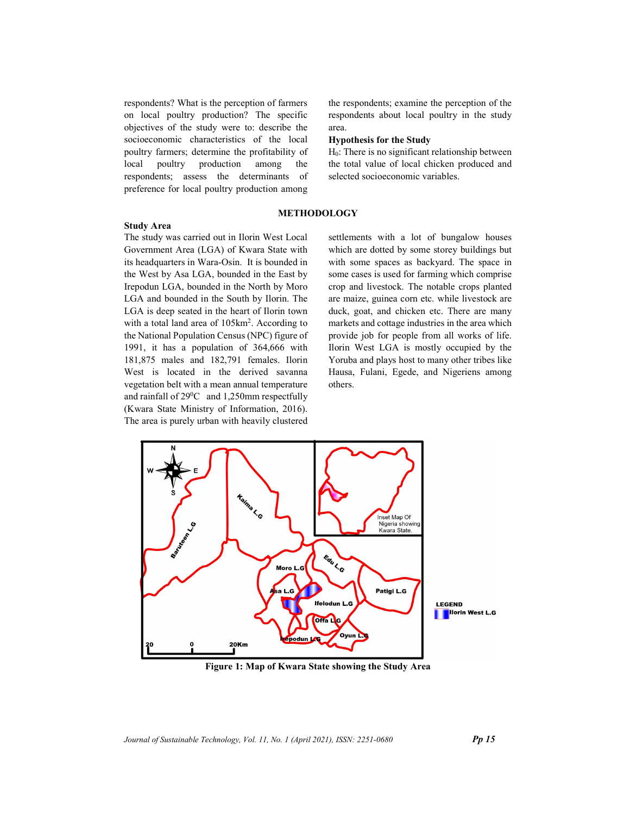respondents? What is the perception of farmers on local poultry production? The specific objectives of the study were to: describe the socioeconomic characteristics of the local poultry farmers; determine the profitability of respondents; assess the determinants of preference for local poultry production among

#### Study Area

The study was carried out in Ilorin West Local Government Area (LGA) of Kwara State with its headquarters in Wara-Osin. It is bounded in the West by Asa LGA, bounded in the East by Irepodun LGA, bounded in the North by Moro LGA and bounded in the South by Ilorin. The LGA is deep seated in the heart of Ilorin town with a total land area of  $105 \text{km}^2$ . According to the National Population Census (NPC) figure of 1991, it has a population of 364,666 with 181,875 males and 182,791 females. Ilorin West is located in the derived savanna vegetation belt with a mean annual temperature and rainfall of 29<sup>0</sup>C and 1,250mm respectfully (Kwara State Ministry of Information, 2016). The area is purely urban with heavily clustered the respondents; examine the perception of the respondents about local poultry in the study area.

#### Hypothesis for the Study

local poultry production among the the total value of local chicken produced and H0: There is no significant relationship between selected socioeconomic variables.

#### METHODOLOGY

. According to markets and cottage industries in the area which settlements with a lot of bungalow houses which are dotted by some storey buildings but with some spaces as backyard. The space in some cases is used for farming which comprise crop and livestock. The notable crops planted are maize, guinea corn etc. while livestock are duck, goat, and chicken etc. There are many provide job for people from all works of life. Ilorin West LGA is mostly occupied by the Yoruba and plays host to many other tribes like Hausa, Fulani, Egede, and Nigeriens among others.



Figure 1: Map of Kwara State showing the Study Area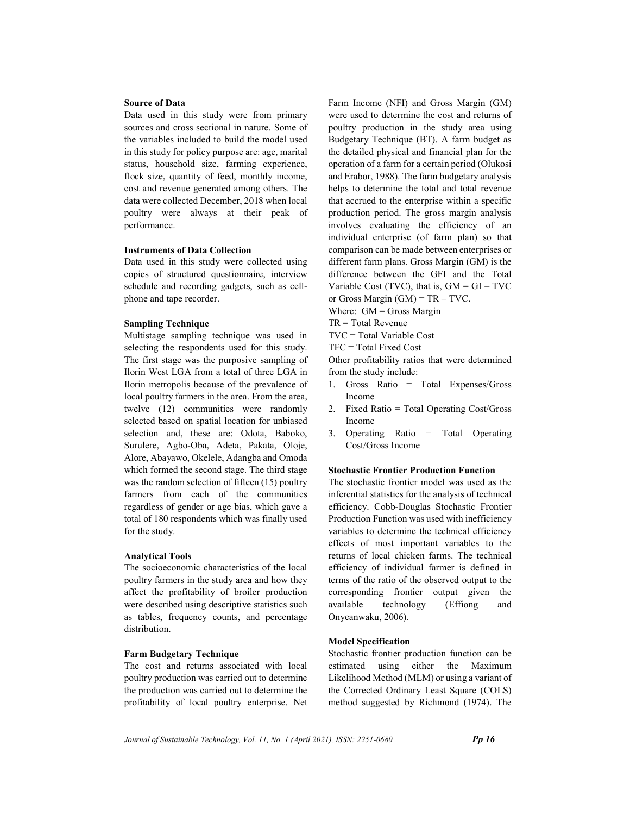#### Source of Data

Data used in this study were from primary sources and cross sectional in nature. Some of the variables included to build the model used in this study for policy purpose are: age, marital status, household size, farming experience, flock size, quantity of feed, monthly income, cost and revenue generated among others. The data were collected December, 2018 when local poultry were always at their peak of performance.

## Instruments of Data Collection

Data used in this study were collected using copies of structured questionnaire, interview schedule and recording gadgets, such as cellphone and tape recorder.

## Sampling Technique

Multistage sampling technique was used in selecting the respondents used for this study. The first stage was the purposive sampling of Ilorin West LGA from a total of three LGA in Ilorin metropolis because of the prevalence of local poultry farmers in the area. From the area, twelve (12) communities were randomly selected based on spatial location for unbiased selection and, these are: Odota, Baboko, Surulere, Agbo-Oba, Adeta, Pakata, Oloje, Alore, Abayawo, Okelele, Adangba and Omoda which formed the second stage. The third stage was the random selection of fifteen (15) poultry farmers from each of the communities regardless of gender or age bias, which gave a total of 180 respondents which was finally used for the study.

#### Analytical Tools

The socioeconomic characteristics of the local poultry farmers in the study area and how they affect the profitability of broiler production were described using descriptive statistics such as tables, frequency counts, and percentage distribution.

#### Farm Budgetary Technique

The cost and returns associated with local poultry production was carried out to determine the production was carried out to determine the profitability of local poultry enterprise. Net Farm Income (NFI) and Gross Margin (GM) were used to determine the cost and returns of poultry production in the study area using Budgetary Technique (BT). A farm budget as the detailed physical and financial plan for the operation of a farm for a certain period (Olukosi and Erabor, 1988). The farm budgetary analysis helps to determine the total and total revenue that accrued to the enterprise within a specific production period. The gross margin analysis involves evaluating the efficiency of an individual enterprise (of farm plan) so that comparison can be made between enterprises or different farm plans. Gross Margin (GM) is the difference between the GFI and the Total Variable Cost (TVC), that is,  $GM = GI - TVC$ or Gross Margin  $(GM) = TR - TVC$ .

Where:  $GM = Gross$  Margin TR = Total Revenue

TVC = Total Variable Cost

TFC = Total Fixed Cost

Other profitability ratios that were determined from the study include:

- 1. Gross Ratio = Total Expenses/Gross Income
- 2. Fixed Ratio = Total Operating Cost/Gross Income
- 3. Operating Ratio = Total Operating Cost/Gross Income

#### Stochastic Frontier Production Function

The stochastic frontier model was used as the inferential statistics for the analysis of technical efficiency. Cobb-Douglas Stochastic Frontier Production Function was used with inefficiency variables to determine the technical efficiency effects of most important variables to the returns of local chicken farms. The technical efficiency of individual farmer is defined in terms of the ratio of the observed output to the corresponding frontier output given the available technology (Effiong and Onyeanwaku, 2006).

#### Model Specification

Stochastic frontier production function can be estimated using either the Maximum Likelihood Method (MLM) or using a variant of the Corrected Ordinary Least Square (COLS) method suggested by Richmond (1974). The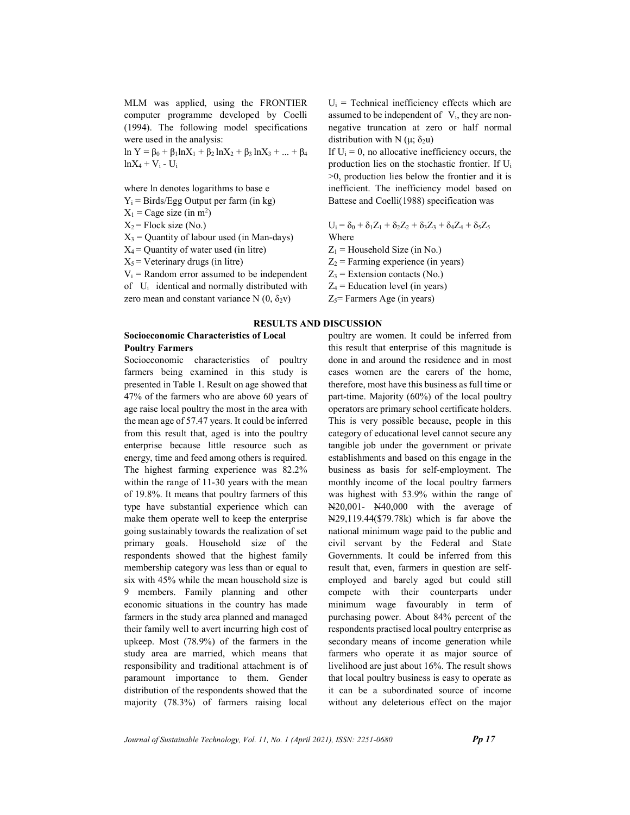MLM was applied, using the FRONTIER computer programme developed by Coelli (1994). The following model specifications were used in the analysis:

ln Y = β<sub>0</sub> + β<sub>1</sub>lnX<sub>1</sub> + β<sub>2</sub>lnX<sub>2</sub> + β<sub>3</sub>lnX<sub>3</sub> + ... + β<sub>4</sub>  $lnX_4 + V_i - U_i$ 

where ln denotes logarithms to base e

 $Y_i$  = Birds/Egg Output per farm (in kg)

 $X_1$  = Cage size (in m<sup>2</sup>)

 $X_2$  = Flock size (No.)

 $X_3$  = Quantity of labour used (in Man-days)

 $X_4$  = Quantity of water used (in litre)

 $X_5$  = Veterinary drugs (in litre)

 $V_i$  = Random error assumed to be independent of Ui identical and normally distributed with zero mean and constant variance N  $(0, \delta_2 v)$ 

# RESULTS AND DISCUSSION

#### Socioeconomic Characteristics of Local Poultry Farmers

Socioeconomic characteristics of poultry farmers being examined in this study is presented in Table 1. Result on age showed that 47% of the farmers who are above 60 years of age raise local poultry the most in the area with the mean age of 57.47 years. It could be inferred from this result that, aged is into the poultry enterprise because little resource such as energy, time and feed among others is required. The highest farming experience was 82.2% within the range of 11-30 years with the mean of 19.8%. It means that poultry farmers of this type have substantial experience which can make them operate well to keep the enterprise going sustainably towards the realization of set primary goals. Household size of the respondents showed that the highest family membership category was less than or equal to six with 45% while the mean household size is 9 members. Family planning and other economic situations in the country has made farmers in the study area planned and managed their family well to avert incurring high cost of upkeep. Most (78.9%) of the farmers in the study area are married, which means that responsibility and traditional attachment is of paramount importance to them. Gender distribution of the respondents showed that the majority (78.3%) of farmers raising local  $U_i$  = Technical inefficiency effects which are assumed to be independent of  $V_i$ , they are nonnegative truncation at zero or half normal distribution with N ( $\mu$ ;  $\delta_2$ u)

If  $U_i = 0$ , no allocative inefficiency occurs, the production lies on the stochastic frontier. If U<sup>i</sup> >0, production lies below the frontier and it is inefficient. The inefficiency model based on Battese and Coelli(1988) specification was

$$
U_i = \delta_0 + \delta_1 Z_1 + \delta_2 Z_2 + \delta_3 Z_3 + \delta_4 Z_4 + \delta_5 Z_5
$$
  
Where

- $Z_1$  = Household Size (in No.)
- $Z_2$  = Farming experience (in years)
- $Z_3$  = Extension contacts (No.)
- $Z_4$  = Education level (in years)
- $Z_5$ = Farmers Age (in years)

poultry are women. It could be inferred from this result that enterprise of this magnitude is done in and around the residence and in most cases women are the carers of the home, therefore, most have this business as full time or part-time. Majority (60%) of the local poultry operators are primary school certificate holders. This is very possible because, people in this category of educational level cannot secure any tangible job under the government or private establishments and based on this engage in the business as basis for self-employment. The monthly income of the local poultry farmers was highest with 53.9% within the range of N20,001- N40,000 with the average of N29,119.44(\$79.78k) which is far above the national minimum wage paid to the public and civil servant by the Federal and State Governments. It could be inferred from this result that, even, farmers in question are selfemployed and barely aged but could still compete with their counterparts under minimum wage favourably in term of purchasing power. About 84% percent of the respondents practised local poultry enterprise as secondary means of income generation while farmers who operate it as major source of livelihood are just about 16%. The result shows that local poultry business is easy to operate as it can be a subordinated source of income without any deleterious effect on the major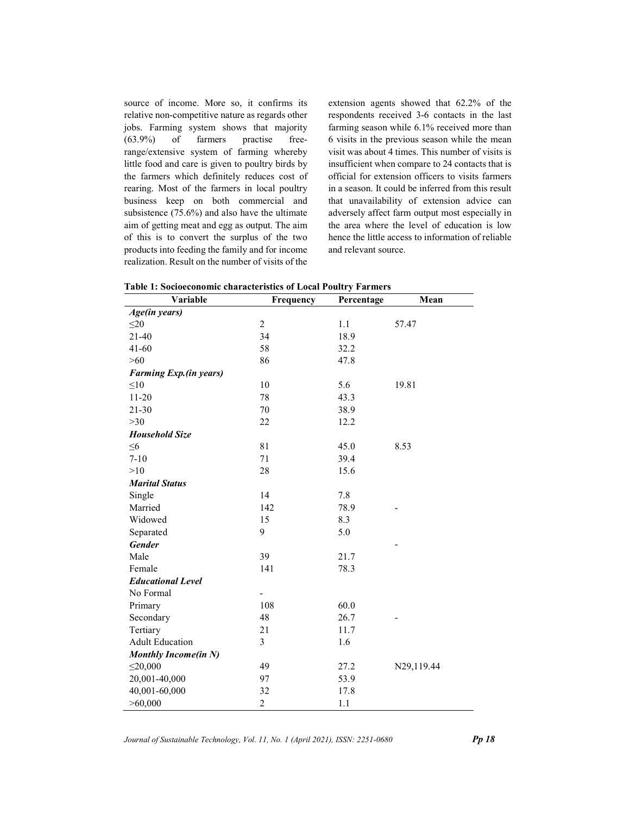source of income. More so, it confirms its relative non-competitive nature as regards other jobs. Farming system shows that majority (63.9%) of farmers practise freerange/extensive system of farming whereby little food and care is given to poultry birds by the farmers which definitely reduces cost of rearing. Most of the farmers in local poultry business keep on both commercial and subsistence (75.6%) and also have the ultimate aim of getting meat and egg as output. The aim of this is to convert the surplus of the two products into feeding the family and for income realization. Result on the number of visits of the

extension agents showed that 62.2% of the respondents received 3-6 contacts in the last farming season while 6.1% received more than 6 visits in the previous season while the mean visit was about 4 times. This number of visits is insufficient when compare to 24 contacts that is official for extension officers to visits farmers in a season. It could be inferred from this result that unavailability of extension advice can adversely affect farm output most especially in the area where the level of education is low hence the little access to information of reliable and relevant source.

| Variable                    | Frequency                | Percentage | Mean       |
|-----------------------------|--------------------------|------------|------------|
| Age(in years)               |                          |            |            |
| $\leq$ 20                   | $\overline{c}$           | 1.1        | 57.47      |
| $21 - 40$                   | 34                       | 18.9       |            |
| $41 - 60$                   | 58                       | 32.2       |            |
| $>60$                       | 86                       | 47.8       |            |
| Farming Exp.(in years)      |                          |            |            |
| $\leq10$                    | 10                       | 5.6        | 19.81      |
| $11 - 20$                   | 78                       | 43.3       |            |
| $21 - 30$                   | 70                       | 38.9       |            |
| $>30$                       | 22                       | 12.2       |            |
| <b>Household Size</b>       |                          |            |            |
| $\leq 6$                    | 81                       | 45.0       | 8.53       |
| $7 - 10$                    | 71                       | 39.4       |            |
| >10                         | 28                       | 15.6       |            |
| <b>Marital Status</b>       |                          |            |            |
| Single                      | 14                       | 7.8        |            |
| Married                     | 142                      | 78.9       |            |
| Widowed                     | 15                       | 8.3        |            |
| Separated                   | 9                        | 5.0        |            |
| <b>Gender</b>               |                          |            |            |
| Male                        | 39                       | 21.7       |            |
| Female                      | 141                      | 78.3       |            |
| <b>Educational Level</b>    |                          |            |            |
| No Formal                   | $\overline{\phantom{0}}$ |            |            |
| Primary                     | 108                      | 60.0       |            |
| Secondary                   | 48                       | 26.7       |            |
| Tertiary                    | 21                       | 11.7       |            |
| <b>Adult Education</b>      | 3                        | 1.6        |            |
| <b>Monthly Income(in N)</b> |                          |            |            |
| $\leq$ 20,000               | 49                       | 27.2       | N29,119.44 |
| 20,001-40,000               | 97                       | 53.9       |            |
| 40,001-60,000               | 32                       | 17.8       |            |
| >60,000                     | $\overline{c}$           | 1.1        |            |

Table 1: Socioeconomic characteristics of Local Poultry Farmers

Journal of Sustainable Technology, Vol. 11, No. 1 (April 2021), ISSN: 2251-0680 **Pp 18**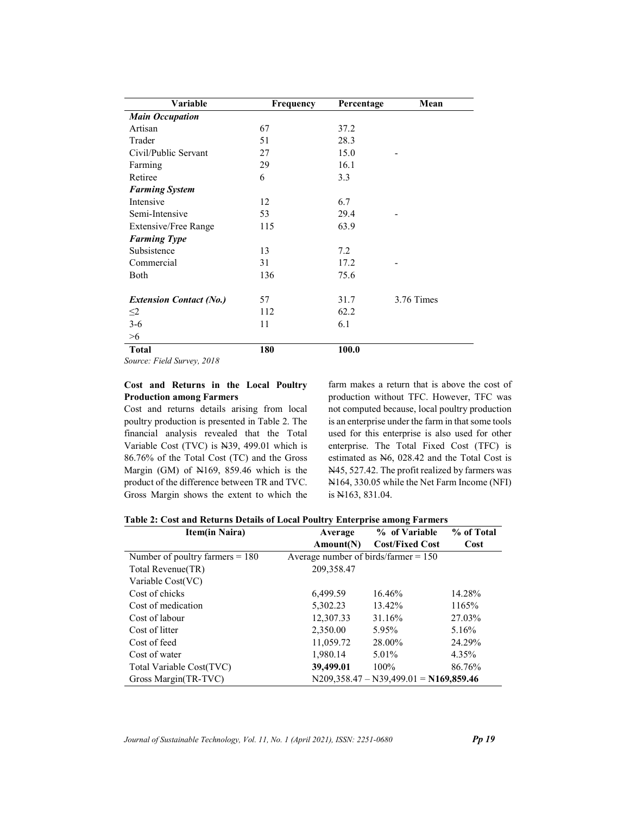| Frequency | Percentage      | Mean                |
|-----------|-----------------|---------------------|
|           |                 |                     |
| 67        | 37.2            |                     |
| 51        | 28.3            |                     |
| 27        | 15.0            |                     |
| 29        | 16.1            |                     |
| 6         | 3.3             |                     |
|           |                 |                     |
| 12        | 6.7             |                     |
| 53        | 29.4            |                     |
| 115       | 63.9            |                     |
|           |                 |                     |
| 13        | 7.2             |                     |
| 31        | 17.2            |                     |
| 136       | 75.6            |                     |
|           |                 |                     |
|           |                 | 3.76 Times          |
|           |                 |                     |
|           |                 |                     |
|           |                 |                     |
| 180       | 100.0           |                     |
|           | 57<br>112<br>11 | 31.7<br>62.2<br>6.1 |

### Source: Field Survey, 2018

## Cost and Returns in the Local Poultry Production among Farmers

Cost and returns details arising from local poultry production is presented in Table 2. The financial analysis revealed that the Total Variable Cost (TVC) is N39, 499.01 which is 86.76% of the Total Cost (TC) and the Gross Margin (GM) of N169, 859.46 which is the product of the difference between TR and TVC. Gross Margin shows the extent to which the farm makes a return that is above the cost of production without TFC. However, TFC was not computed because, local poultry production is an enterprise under the farm in that some tools used for this enterprise is also used for other enterprise. The Total Fixed Cost (TFC) is estimated as N6, 028.42 and the Total Cost is N45, 527.42. The profit realized by farmers was N164, 330.05 while the Net Farm Income (NFI) is N163, 831.04.

| Table 2: Cost and Returns Details of Local Poultry Enterprise among Farmers |
|-----------------------------------------------------------------------------|
|-----------------------------------------------------------------------------|

| <b>Item(in Naira)</b>             | Average                                | % of Variable                            | % of Total |
|-----------------------------------|----------------------------------------|------------------------------------------|------------|
|                                   | Amount(N)                              | <b>Cost/Fixed Cost</b>                   | Cost       |
| Number of poultry farmers $= 180$ | Average number of birds/farmer $= 150$ |                                          |            |
| Total Revenue(TR)                 | 209,358.47                             |                                          |            |
| Variable Cost(VC)                 |                                        |                                          |            |
| Cost of chicks                    | 6.499.59                               | 16.46%                                   | 14.28%     |
| Cost of medication                | 5,302.23                               | 13.42%                                   | 1165%      |
| Cost of labour                    | 12,307.33                              | 31.16%                                   | 27.03%     |
| Cost of litter                    | 2,350.00                               | 5.95%                                    | 5.16%      |
| Cost of feed                      | 11,059.72                              | 28.00%                                   | 24.29%     |
| Cost of water                     | 1,980.14                               | 5.01%                                    | 4.35%      |
| Total Variable Cost(TVC)          | 39,499.01                              | $100\%$                                  | 86.76%     |
| Gross Margin(TR-TVC)              |                                        | $N209,358.47 - N39,499.01 = N169,859.46$ |            |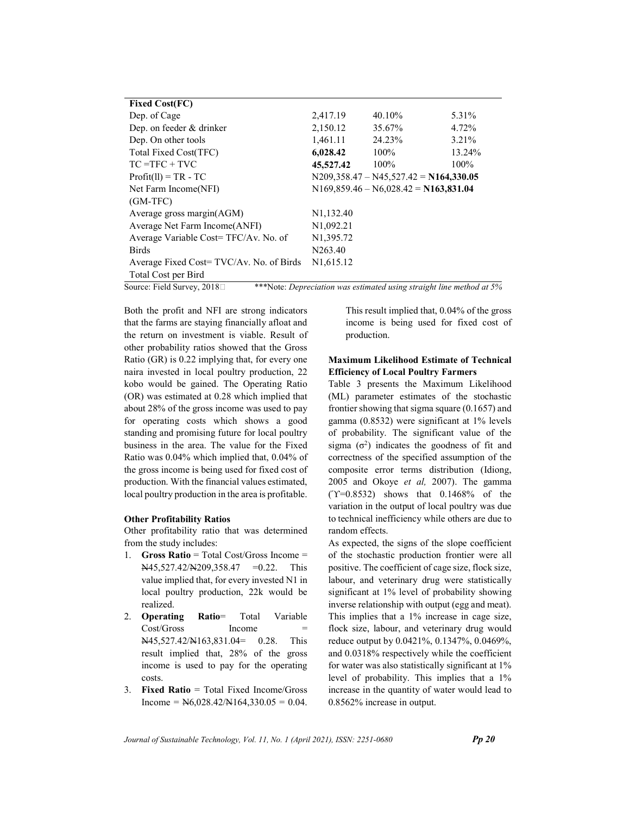| <b>Fixed Cost(FC)</b>                   |                        |                                          |         |
|-----------------------------------------|------------------------|------------------------------------------|---------|
| Dep. of Cage                            | 2,417.19               | 40.10%                                   | 5.31%   |
| Dep. on feeder & drinker                | 2,150.12               | 35.67%                                   | 4.72%   |
| Dep. On other tools                     | 1,461.11               | 24.23%                                   | 3.21%   |
| Total Fixed Cost(TFC)                   | 6,028.42               | 100%                                     | 13.24%  |
| $TC = TFC + TVC$                        | 45,527.42              | $100\%$                                  | $100\%$ |
| $Profit(11) = TR - TC$                  |                        | $N209,358.47 - N45,527.42 = N164,330.05$ |         |
| Net Farm Income(NFI)                    |                        | $N169,859.46 - N6,028.42 = N163,831.04$  |         |
| $(GM-TFC)$                              |                        |                                          |         |
| Average gross margin $(AGM)$            | N <sub>1</sub> ,132.40 |                                          |         |
| Average Net Farm Income (ANFI)          | N <sub>1</sub> ,092.21 |                                          |         |
| Average Variable Cost=TFC/Av. No. of    | N1,395.72              |                                          |         |
| <b>Birds</b>                            | N263.40                |                                          |         |
| Average Fixed Cost=TVC/Av. No. of Birds | N <sub>1</sub> ,615.12 |                                          |         |
| Total Cost per Bird                     |                        |                                          |         |

Source: Field Survey, 2018  $\Box$  \*\*\*Note: *Depreciation was estimated using straight line method at*  $5\%$ 

Both the profit and NFI are strong indicators that the farms are staying financially afloat and the return on investment is viable. Result of other probability ratios showed that the Gross Ratio (GR) is 0.22 implying that, for every one naira invested in local poultry production, 22 kobo would be gained. The Operating Ratio (OR) was estimated at 0.28 which implied that about 28% of the gross income was used to pay for operating costs which shows a good standing and promising future for local poultry business in the area. The value for the Fixed Ratio was 0.04% which implied that, 0.04% of the gross income is being used for fixed cost of production. With the financial values estimated, local poultry production in the area is profitable.

## Other Profitability Ratios

Other profitability ratio that was determined from the study includes:

- 1. Gross Ratio = Total Cost/Gross Income = N45,527.42/N209,358.47 = 0.22. This value implied that, for every invested N1 in local poultry production, 22k would be realized.
- 2. Operating Ratio= Total Variable Cost/Gross Income N45,527.42/N163,831.04= 0.28. This result implied that, 28% of the gross income is used to pay for the operating costs.
- 3. Fixed Ratio = Total Fixed Income/Gross Income =  $N6,028.42/N164,330.05 = 0.04$ .

This result implied that, 0.04% of the gross income is being used for fixed cost of production.

## Maximum Likelihood Estimate of Technical Efficiency of Local Poultry Farmers

Table 3 presents the Maximum Likelihood (ML) parameter estimates of the stochastic frontier showing that sigma square (0.1657) and gamma (0.8532) were significant at 1% levels of probability. The significant value of the sigma  $(\sigma^2)$  indicates the goodness of fit and correctness of the specified assumption of the composite error terms distribution (Idiong, 2005 and Okoye et al, 2007). The gamma (ϓ=0.8532) shows that 0.1468% of the variation in the output of local poultry was due to technical inefficiency while others are due to random effects.

As expected, the signs of the slope coefficient of the stochastic production frontier were all positive. The coefficient of cage size, flock size, labour, and veterinary drug were statistically significant at 1% level of probability showing inverse relationship with output (egg and meat). This implies that a 1% increase in cage size, flock size, labour, and veterinary drug would reduce output by 0.0421%, 0.1347%, 0.0469%, and 0.0318% respectively while the coefficient for water was also statistically significant at 1% level of probability. This implies that a 1% increase in the quantity of water would lead to 0.8562% increase in output.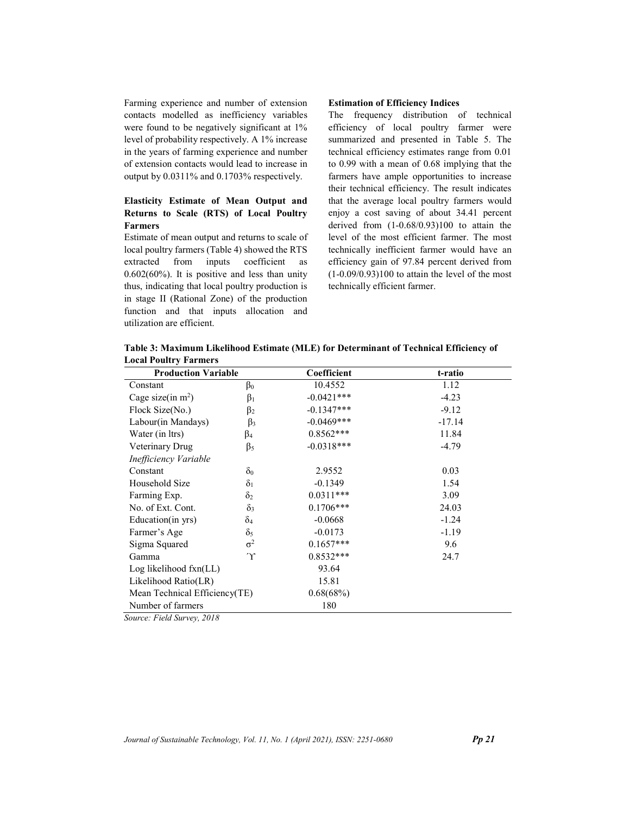Farming experience and number of extension contacts modelled as inefficiency variables were found to be negatively significant at 1% level of probability respectively. A 1% increase in the years of farming experience and number of extension contacts would lead to increase in output by 0.0311% and 0.1703% respectively.

## Elasticity Estimate of Mean Output and Returns to Scale (RTS) of Local Poultry Farmers

Estimate of mean output and returns to scale of local poultry farmers (Table 4) showed the RTS extracted from inputs coefficient as 0.602(60%). It is positive and less than unity thus, indicating that local poultry production is in stage II (Rational Zone) of the production function and that inputs allocation and utilization are efficient.

#### Estimation of Efficiency Indices

The frequency distribution of technical efficiency of local poultry farmer were summarized and presented in Table 5. The technical efficiency estimates range from 0.01 to 0.99 with a mean of 0.68 implying that the farmers have ample opportunities to increase their technical efficiency. The result indicates that the average local poultry farmers would enjoy a cost saving of about 34.41 percent derived from (1-0.68/0.93)100 to attain the level of the most efficient farmer. The most technically inefficient farmer would have an efficiency gain of 97.84 percent derived from  $(1-0.09/0.93)100$  to attain the level of the most technically efficient farmer.

Table 3: Maximum Likelihood Estimate (MLE) for Determinant of Technical Efficiency of Local Poultry Farmers

| <b>Production Variable</b>    |            | Coefficient  | t-ratio  |
|-------------------------------|------------|--------------|----------|
| Constant                      | $\beta_0$  | 10.4552      | 1.12     |
| Cage size(in $m^2$ )          | $\beta_1$  | $-0.0421***$ | $-4.23$  |
| Flock Size(No.)               | $\beta_2$  | $-0.1347***$ | $-9.12$  |
| Labour(in Mandays)            | $\beta_3$  | $-0.0469***$ | $-17.14$ |
| Water (in Itrs)               | $\beta_4$  | $0.8562***$  | 11.84    |
| Veterinary Drug               | $\beta_5$  | $-0.0318***$ | $-4.79$  |
| Inefficiency Variable         |            |              |          |
| Constant                      | $\delta_0$ | 2.9552       | 0.03     |
| Household Size                | $\delta_1$ | $-0.1349$    | 1.54     |
| Farming Exp.                  | $\delta_2$ | $0.0311***$  | 3.09     |
| No. of Ext. Cont.             | $\delta_3$ | $0.1706***$  | 24.03    |
| Education(in yrs)             | $\delta_4$ | $-0.0668$    | $-1.24$  |
| Farmer's Age                  | $\delta_5$ | $-0.0173$    | $-1.19$  |
| Sigma Squared                 | $\sigma^2$ | $0.1657***$  | 9.6      |
| Gamma                         | $\gamma$   | $0.8532***$  | 24.7     |
| Log likelihood fxn(LL)        |            | 93.64        |          |
| Likelihood Ratio(LR)          |            | 15.81        |          |
| Mean Technical Efficiency(TE) |            | 0.68(68%)    |          |
| Number of farmers             |            | 180          |          |
| Source: Field Survey, 2018    |            |              |          |

Source: Field Survey, 2018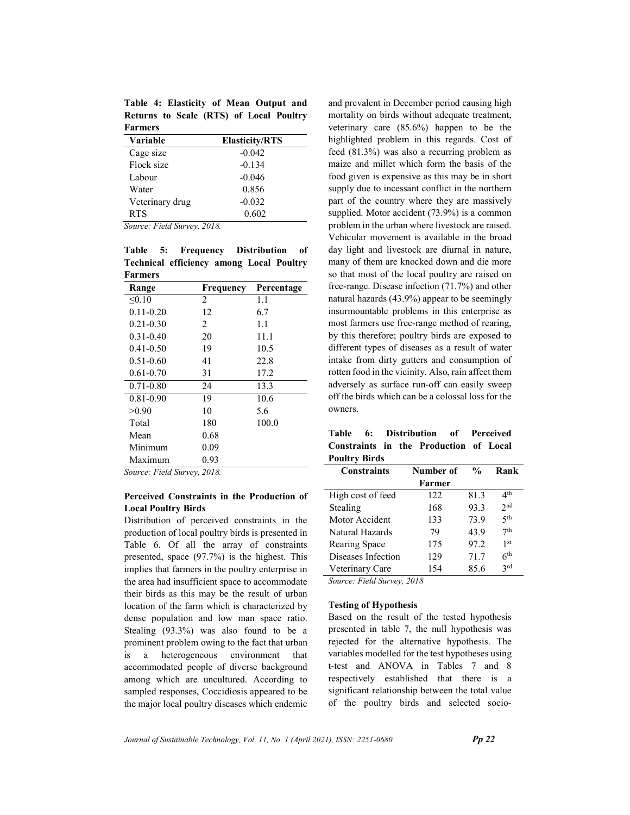Table 4: Elasticity of Mean Output and Returns to Scale (RTS) of Local Poultry Farmers

| Variable        | <b>Elasticity/RTS</b> |
|-----------------|-----------------------|
| Cage size       | $-0.042$              |
| Flock size      | $-0.134$              |
| Labour          | $-0.046$              |
| Water           | 0.856                 |
| Veterinary drug | $-0.032$              |
| <b>RTS</b>      | 0.602                 |

Source: Field Survey, 2018.

Table 5: Frequency Distribution of Technical efficiency among Local Poultry Farmers

| Range         | Frequency                     | Percentage |
|---------------|-------------------------------|------------|
| < 0.10        | 2                             | 1.1        |
| $0.11 - 0.20$ | 12                            | 6.7        |
| $0.21 - 0.30$ | $\mathfrak{D}_{\mathfrak{p}}$ | 1.1        |
| $0.31 - 0.40$ | 20                            | 11.1       |
| $0.41 - 0.50$ | 19                            | 10.5       |
| $0.51 - 0.60$ | 41                            | 22.8       |
| $0.61 - 0.70$ | 31                            | 17.2       |
| $0.71 - 0.80$ | 24                            | 13.3       |
| $0.81 - 0.90$ | 19                            | 10.6       |
| >0.90         | 10                            | 5.6        |
| Total         | 180                           | 100.0      |
| Mean          | 0.68                          |            |
| Minimum       | 0.09                          |            |
| Maximum       | 0.93                          |            |

Source: Field Survey, 2018.

## Perceived Constraints in the Production of Local Poultry Birds

Distribution of perceived constraints in the production of local poultry birds is presented in Table 6. Of all the array of constraints presented, space (97.7%) is the highest. This implies that farmers in the poultry enterprise in the area had insufficient space to accommodate their birds as this may be the result of urban location of the farm which is characterized by dense population and low man space ratio. Stealing (93.3%) was also found to be a prominent problem owing to the fact that urban is a heterogeneous environment that accommodated people of diverse background among which are uncultured. According to sampled responses, Coccidiosis appeared to be the major local poultry diseases which endemic

and prevalent in December period causing high mortality on birds without adequate treatment, veterinary care (85.6%) happen to be the highlighted problem in this regards. Cost of feed (81.3%) was also a recurring problem as maize and millet which form the basis of the food given is expensive as this may be in short supply due to incessant conflict in the northern part of the country where they are massively supplied. Motor accident (73.9%) is a common problem in the urban where livestock are raised. Vehicular movement is available in the broad day light and livestock are diurnal in nature, many of them are knocked down and die more so that most of the local poultry are raised on free-range. Disease infection (71.7%) and other natural hazards (43.9%) appear to be seemingly insurmountable problems in this enterprise as most farmers use free-range method of rearing, by this therefore; poultry birds are exposed to different types of diseases as a result of water intake from dirty gutters and consumption of rotten food in the vicinity. Also, rain affect them adversely as surface run-off can easily sweep off the birds which can be a colossal loss for the owners.

| Table 6: Distribution of Perceived            |  |  |  |  |
|-----------------------------------------------|--|--|--|--|
| <b>Constraints in the Production of Local</b> |  |  |  |  |
| Poultry Birds                                 |  |  |  |  |

| <b>Constraints</b><br>Number of |        | $\frac{0}{0}$ | Rank            |
|---------------------------------|--------|---------------|-----------------|
|                                 | Farmer |               |                 |
| High cost of feed               | 122    | 81.3          | 4 <sup>th</sup> |
| Stealing                        | 168    | 93.3          | 2 <sub>nd</sub> |
| Motor Accident                  | 133    | 73.9          | 5 <sup>th</sup> |
| Natural Hazards                 | 79     | 43.9          | 7th             |
| Rearing Space                   | 175    | 97.2          | 1 <sup>st</sup> |
| Diseases Infection              | 129    | 71.7          | 6 <sup>th</sup> |
| Veterinary Care                 | 154    | 85.6          | 2rd             |

Source: Field Survey, 2018

#### Testing of Hypothesis

Based on the result of the tested hypothesis presented in table 7, the null hypothesis was rejected for the alternative hypothesis. The variables modelled for the test hypotheses using t-test and ANOVA in Tables 7 and 8 respectively established that there is a significant relationship between the total value of the poultry birds and selected socio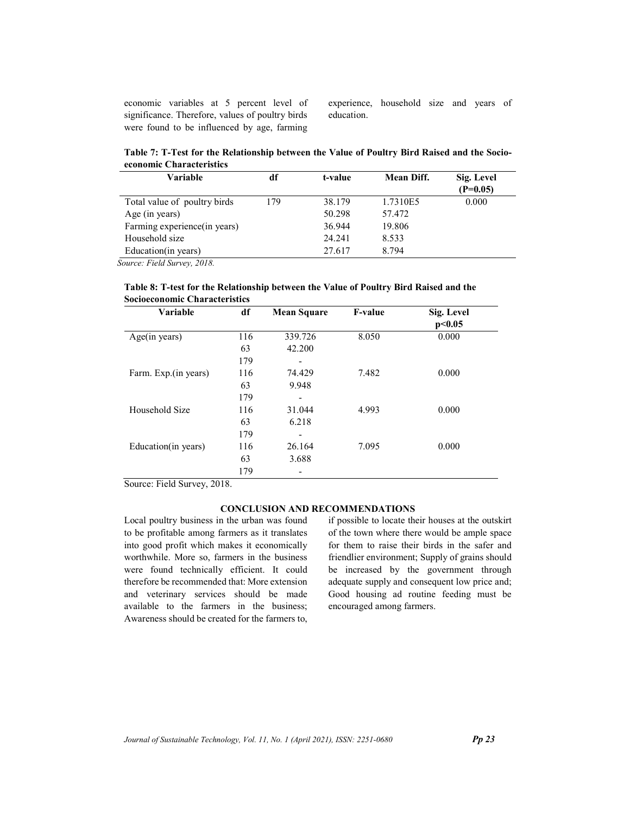economic variables at 5 percent level of significance. Therefore, values of poultry birds were found to be influenced by age, farming experience, household size and years of education.

Table 7: T-Test for the Relationship between the Value of Poultry Bird Raised and the Socioeconomic Characteristics

| <b>Variable</b>              | df  | t-value | <b>Mean Diff.</b> | Sig. Level<br>$(P=0.05)$ |
|------------------------------|-----|---------|-------------------|--------------------------|
| Total value of poultry birds | 179 | 38.179  | 1.7310E5          | 0.000                    |
| Age (in years)               |     | 50.298  | 57.472            |                          |
| Farming experience(in years) |     | 36.944  | 19.806            |                          |
| Household size               |     | 24.241  | 8.533             |                          |
| Education(in years)          |     | 27.617  | 8.794             |                          |

Source: Field Survey, 2018.

| Table 8: T-test for the Relationship between the Value of Poultry Bird Raised and the |  |
|---------------------------------------------------------------------------------------|--|
| <b>Socioeconomic Characteristics</b>                                                  |  |

| <b>Variable</b>      | df  | <b>Mean Square</b> | <b>F-value</b> | Sig. Level<br>p<0.05 |
|----------------------|-----|--------------------|----------------|----------------------|
| Age(in years)        | 116 | 339.726            | 8.050          | 0.000                |
|                      | 63  | 42.200             |                |                      |
|                      | 179 |                    |                |                      |
| Farm. Exp.(in years) | 116 | 74.429             | 7.482          | 0.000                |
|                      | 63  | 9.948              |                |                      |
|                      | 179 | -                  |                |                      |
| Household Size       | 116 | 31.044             | 4.993          | 0.000                |
|                      | 63  | 6.218              |                |                      |
|                      | 179 |                    |                |                      |
| Education(in years)  | 116 | 26.164             | 7.095          | 0.000                |
|                      | 63  | 3.688              |                |                      |
|                      | 179 | -                  |                |                      |

Source: Field Survey, 2018.

## CONCLUSION AND RECOMMENDATIONS

Local poultry business in the urban was found to be profitable among farmers as it translates into good profit which makes it economically worthwhile. More so, farmers in the business were found technically efficient. It could therefore be recommended that: More extension and veterinary services should be made available to the farmers in the business; Awareness should be created for the farmers to, if possible to locate their houses at the outskirt of the town where there would be ample space for them to raise their birds in the safer and friendlier environment; Supply of grains should be increased by the government through adequate supply and consequent low price and; Good housing ad routine feeding must be encouraged among farmers.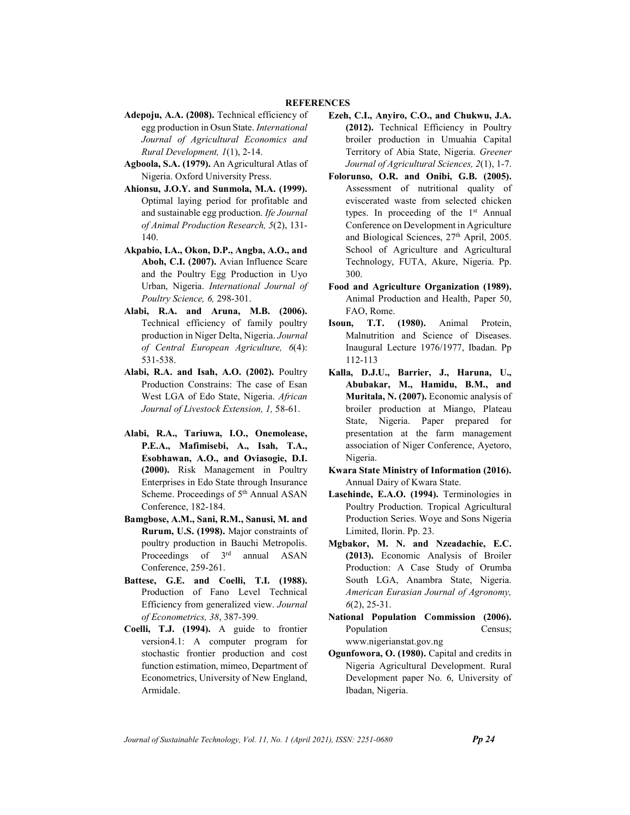#### **REFERENCES**

- Adepoju, A.A. (2008). Technical efficiency of egg production in Osun State. International Journal of Agricultural Economics and Rural Development, 1(1), 2-14.
- Agboola, S.A. (1979). An Agricultural Atlas of Nigeria. Oxford University Press.
- Ahionsu, J.O.Y. and Sunmola, M.A. (1999). Optimal laying period for profitable and and sustainable egg production. Ife Journal of Animal Production Research, 5(2), 131- 140.
- Akpabio, I.A., Okon, D.P., Angba, A.O., and Aboh, C.I. (2007). Avian Influence Scare and the Poultry Egg Production in Uyo Urban, Nigeria. International Journal of Poultry Science, 6, 298-301.
- Alabi, R.A. and Aruna, M.B. (2006). Technical efficiency of family poultry production in Niger Delta, Nigeria. Journal of Central European Agriculture, 6(4): 531-538.
- Alabi, R.A. and Isah, A.O. (2002). Poultry Production Constrains: The case of Esan West LGA of Edo State, Nigeria. African Journal of Livestock Extension, 1, 58-61.
- Alabi, R.A., Tariuwa, I.O., Onemolease, P.E.A., Mafimisebi, A., Isah, T.A., Esobhawan, A.O., and Oviasogie, D.I. (2000). Risk Management in Poultry Enterprises in Edo State through Insurance Scheme. Proceedings of 5<sup>th</sup> Annual ASAN Conference, 182-184.
- Bamgbose, A.M., Sani, R.M., Sanusi, M. and Rurum, U.S. (1998). Major constraints of poultry production in Bauchi Metropolis. Proceedings of 3<sup>rd</sup> annual ASAN Conference, 259-261.
- Battese, G.E. and Coelli, T.I. (1988). Production of Fano Level Technical Efficiency from generalized view. Journal of Econometrics, 38, 387-399.
- Coelli, T.J. (1994). A guide to frontier version4.1: A computer program for stochastic frontier production and cost function estimation, mimeo, Department of Econometrics, University of New England, Armidale.
- Ezeh, C.I., Anyiro, C.O., and Chukwu, J.A. (2012). Technical Efficiency in Poultry broiler production in Umuahia Capital Territory of Abia State, Nigeria. Greener Journal of Agricultural Sciences, 2(1), 1-7.
- Folorunso, O.R. and Onibi, G.B. (2005). Assessment of nutritional quality of eviscerated waste from selected chicken types. In proceeding of the 1<sup>st</sup> Annual Conference on Development in Agriculture and Biological Sciences, 27<sup>th</sup> April, 2005. School of Agriculture and Agricultural Technology, FUTA, Akure, Nigeria. Pp. 300.
- Food and Agriculture Organization (1989). Animal Production and Health, Paper 50, FAO, Rome.
- Isoun, T.T. (1980). Animal Protein, Malnutrition and Science of Diseases. Inaugural Lecture 1976/1977, Ibadan. Pp 112-113
- Kalla, D.J.U., Barrier, J., Haruna, U., Abubakar, M., Hamidu, B.M., and Muritala, N. (2007). Economic analysis of broiler production at Miango, Plateau State, Nigeria. Paper prepared for presentation at the farm management association of Niger Conference, Ayetoro, Nigeria.
- Kwara State Ministry of Information (2016). Annual Dairy of Kwara State.
- Lasehinde, E.A.O. (1994). Terminologies in Poultry Production. Tropical Agricultural Production Series. Woye and Sons Nigeria Limited, Ilorin. Pp. 23.
- Mgbakor, M. N. and Nzeadachie, E.C. (2013). Economic Analysis of Broiler Production: A Case Study of Orumba South LGA, Anambra State, Nigeria. American Eurasian Journal of Agronomy,  $6(2)$ , 25-31.
- National Population Commission (2006). Population Census; www.nigerianstat.gov.ng
- Ogunfowora, O. (1980). Capital and credits in Nigeria Agricultural Development. Rural Development paper No. 6, University of Ibadan, Nigeria.

Journal of Sustainable Technology, Vol. 11, No. 1 (April 2021), ISSN:  $2251-0680$  Pp 24